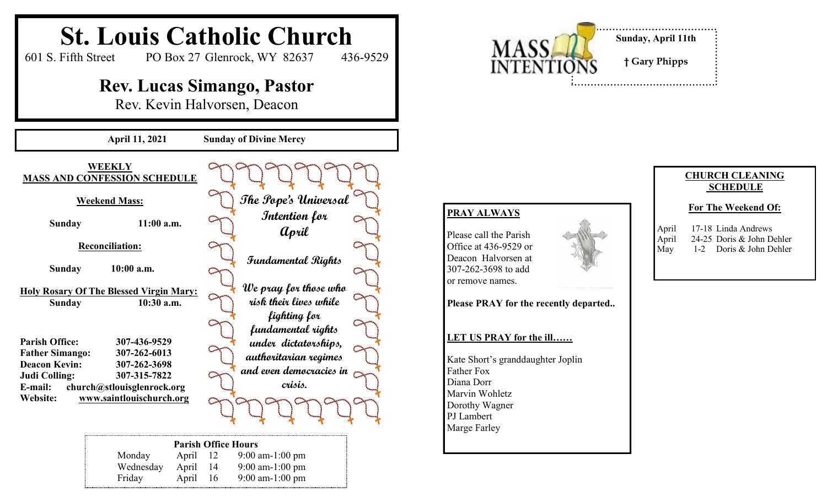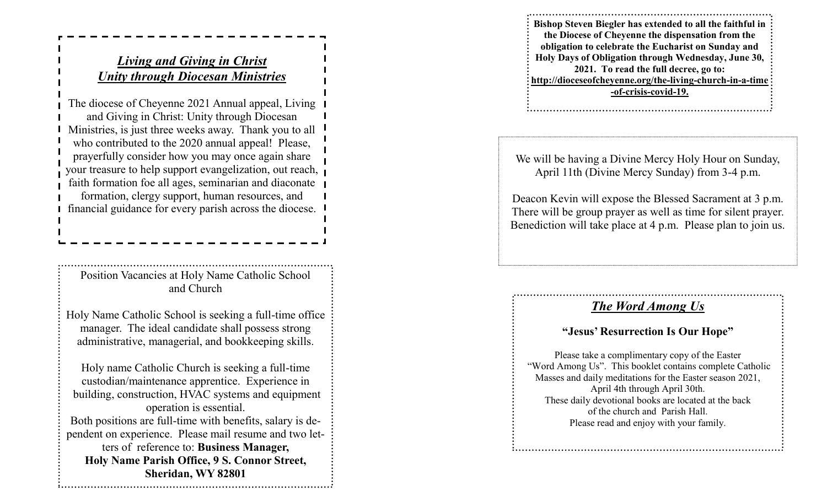## *Living and Giving in Christ Unity through Diocesan Ministries*

The diocese of Cheyenne 2021 Annual appeal, Living and Giving in Christ: Unity through Diocesan Ministries, is just three weeks away. Thank you to all who contributed to the 2020 annual appeal! Please, prayerfully consider how you may once again share your treasure to help support evangelization, out reach, faith formation foe all ages, seminarian and diaconate formation, clergy support, human resources, and financial guidance for every parish across the diocese.

Position Vacancies at Holy Name Catholic School and Church

Holy Name Catholic School is seeking a full -time office manager. The ideal candidate shall possess strong administrative, managerial, and bookkeeping skills.

Holy name Catholic Church is seeking a full -time custodian/maintenance apprentice. Experience in building, construction, HVAC systems and equipment operation is essential. Both positions are full -time with benefits, salary is dependent on experience. Please mail resume and two letters of reference to: **Business Manager, Holy Name Parish Office, 9 S. Connor Street, Sheridan, WY 82801**

**Bishop Steven Biegler has extended to all the faithful in the Diocese of Cheyenne the dispensation from the obligation to celebrate the Eucharist on Sunday and Holy Days of Obligation through Wednesday, June 30, 2021. To read the full decree, go to: http://dioceseofcheyenne.org/the -living -church -in - a -time -of-crisis -covid -19.**

We will be having a Divine Mercy Holy Hour on Sunday, April 11th (Divine Mercy Sunday) from 3 -4 p.m.

Deacon Kevin will expose the Blessed Sacrament at 3 p.m. There will be group prayer as well as time for silent prayer. Benediction will take place at 4 p.m. Please plan to join us.

## *The Word Among Us*

## **"Jesus' Resurrection Is Our Hope"**

Please take a complimentary copy of the Easter "Word Among Us". This booklet contains complete Catholic Masses and daily meditations for the Easter season 2021, April 4th through April 30th. These daily devotional books are located at the back of the church and Parish Hall. Please read and enjoy with your family.